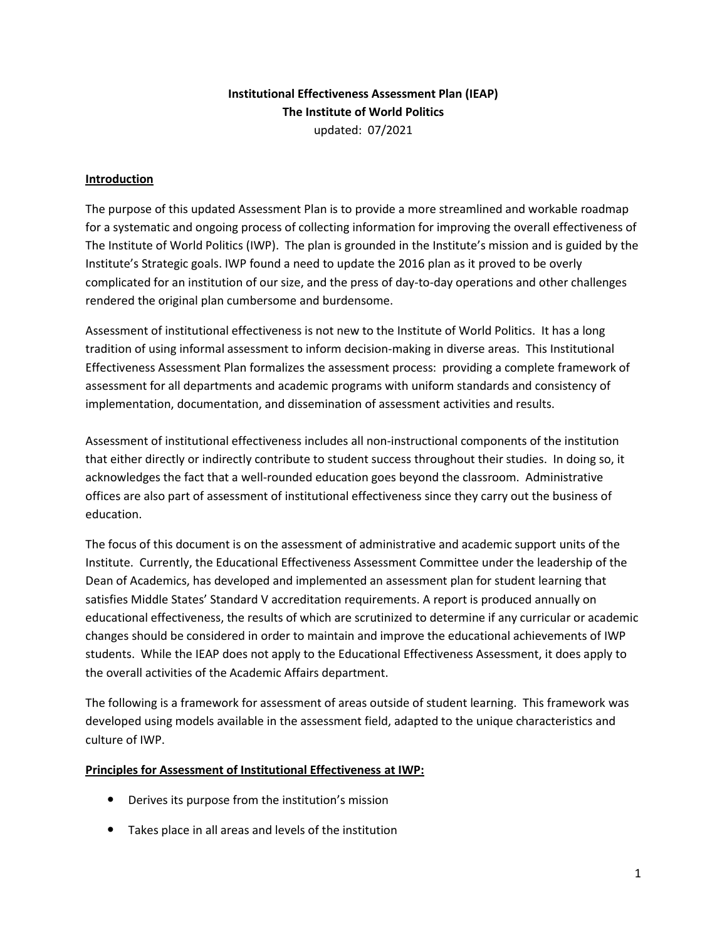# **Institutional Effectiveness Assessment Plan (IEAP) The Institute of World Politics** updated: 07/2021

## **Introduction**

The purpose of this updated Assessment Plan is to provide a more streamlined and workable roadmap for a systematic and ongoing process of collecting information for improving the overall effectiveness of The Institute of World Politics (IWP). The plan is grounded in the Institute's mission and is guided by the Institute's Strategic goals. IWP found a need to update the 2016 plan as it proved to be overly complicated for an institution of our size, and the press of day-to-day operations and other challenges rendered the original plan cumbersome and burdensome.

Assessment of institutional effectiveness is not new to the Institute of World Politics. It has a long tradition of using informal assessment to inform decision-making in diverse areas. This Institutional Effectiveness Assessment Plan formalizes the assessment process: providing a complete framework of assessment for all departments and academic programs with uniform standards and consistency of implementation, documentation, and dissemination of assessment activities and results.

Assessment of institutional effectiveness includes all non-instructional components of the institution that either directly or indirectly contribute to student success throughout their studies. In doing so, it acknowledges the fact that a well-rounded education goes beyond the classroom. Administrative offices are also part of assessment of institutional effectiveness since they carry out the business of education.

The focus of this document is on the assessment of administrative and academic support units of the Institute. Currently, the Educational Effectiveness Assessment Committee under the leadership of the Dean of Academics, has developed and implemented an assessment plan for student learning that satisfies Middle States' Standard V accreditation requirements. A report is produced annually on educational effectiveness, the results of which are scrutinized to determine if any curricular or academic changes should be considered in order to maintain and improve the educational achievements of IWP students. While the IEAP does not apply to the Educational Effectiveness Assessment, it does apply to the overall activities of the Academic Affairs department.

The following is a framework for assessment of areas outside of student learning. This framework was developed using models available in the assessment field, adapted to the unique characteristics and culture of IWP.

### **Principles for Assessment of Institutional Effectiveness at IWP:**

- Derives its purpose from the institution's mission
- Takes place in all areas and levels of the institution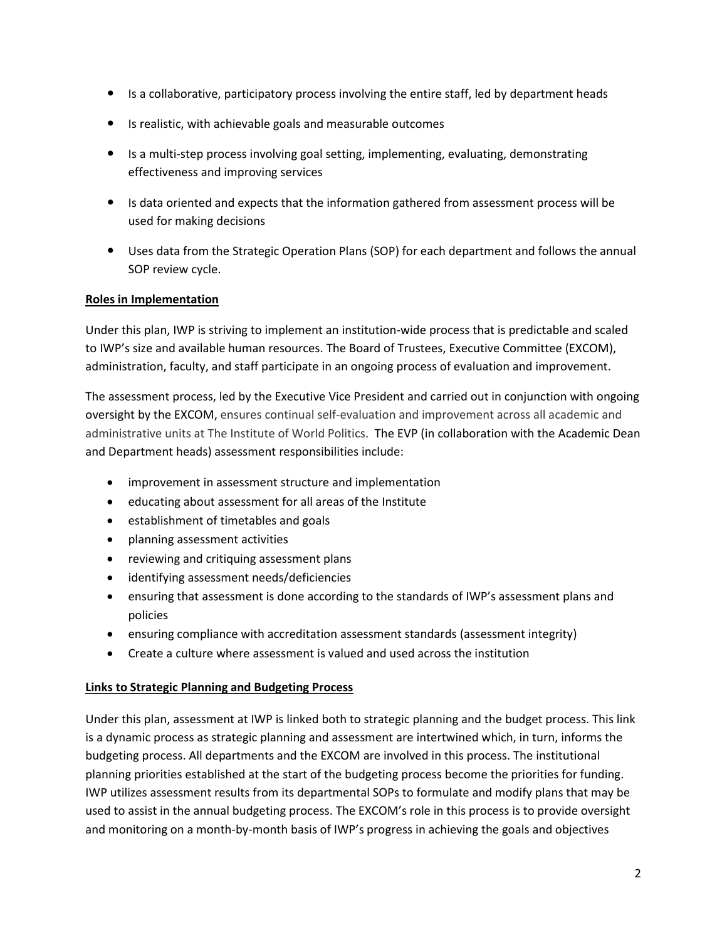- Is a collaborative, participatory process involving the entire staff, led by department heads
- Is realistic, with achievable goals and measurable outcomes
- Is a multi-step process involving goal setting, implementing, evaluating, demonstrating effectiveness and improving services
- Is data oriented and expects that the information gathered from assessment process will be used for making decisions
- Uses data from the Strategic Operation Plans (SOP) for each department and follows the annual SOP review cycle.

# **Roles in Implementation**

Under this plan, IWP is striving to implement an institution-wide process that is predictable and scaled to IWP's size and available human resources. The Board of Trustees, Executive Committee (EXCOM), administration, faculty, and staff participate in an ongoing process of evaluation and improvement.

The assessment process, led by the Executive Vice President and carried out in conjunction with ongoing oversight by the EXCOM, ensures continual self-evaluation and improvement across all academic and administrative units at The Institute of World Politics. The EVP (in collaboration with the Academic Dean and Department heads) assessment responsibilities include:

- improvement in assessment structure and implementation
- educating about assessment for all areas of the Institute
- establishment of timetables and goals
- planning assessment activities
- reviewing and critiquing assessment plans
- identifying assessment needs/deficiencies
- ensuring that assessment is done according to the standards of IWP's assessment plans and policies
- ensuring compliance with accreditation assessment standards (assessment integrity)
- Create a culture where assessment is valued and used across the institution

# **Links to Strategic Planning and Budgeting Process**

Under this plan, assessment at IWP is linked both to strategic planning and the budget process. This link is a dynamic process as strategic planning and assessment are intertwined which, in turn, informs the budgeting process. All departments and the EXCOM are involved in this process. The institutional planning priorities established at the start of the budgeting process become the priorities for funding. IWP utilizes assessment results from its departmental SOPs to formulate and modify plans that may be used to assist in the annual budgeting process. The EXCOM's role in this process is to provide oversight and monitoring on a month-by-month basis of IWP's progress in achieving the goals and objectives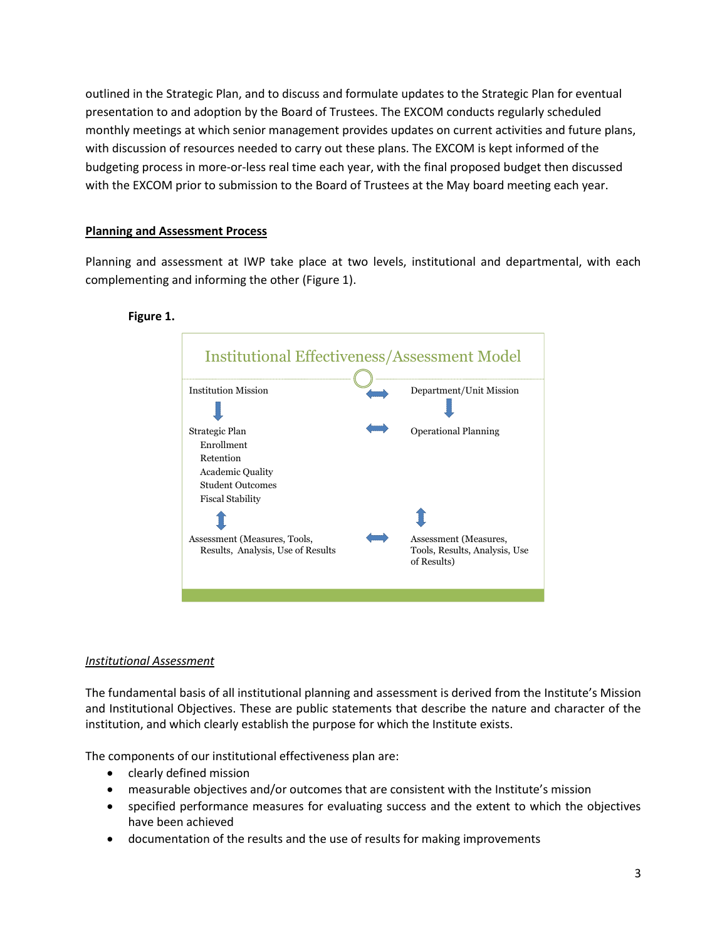outlined in the Strategic Plan, and to discuss and formulate updates to the Strategic Plan for eventual presentation to and adoption by the Board of Trustees. The EXCOM conducts regularly scheduled monthly meetings at which senior management provides updates on current activities and future plans, with discussion of resources needed to carry out these plans. The EXCOM is kept informed of the budgeting process in more-or-less real time each year, with the final proposed budget then discussed with the EXCOM prior to submission to the Board of Trustees at the May board meeting each year.

## **Planning and Assessment Process**

Planning and assessment at IWP take place at two levels, institutional and departmental, with each complementing and informing the other (Figure 1).

#### **Figure 1.**



### *Institutional Assessment*

The fundamental basis of all institutional planning and assessment is derived from the Institute's Mission and Institutional Objectives. These are public statements that describe the nature and character of the institution, and which clearly establish the purpose for which the Institute exists.

The components of our institutional effectiveness plan are:

- clearly defined mission
- measurable objectives and/or outcomes that are consistent with the Institute's mission
- specified performance measures for evaluating success and the extent to which the objectives have been achieved
- documentation of the results and the use of results for making improvements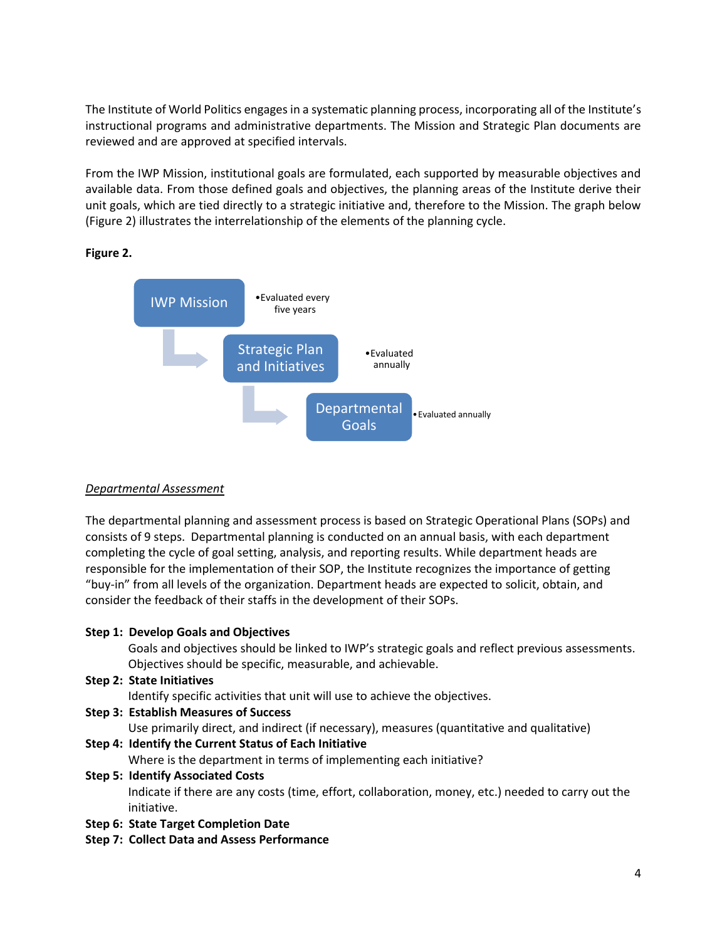The Institute of World Politics engages in a systematic planning process, incorporating all of the Institute's instructional programs and administrative departments. The Mission and Strategic Plan documents are reviewed and are approved at specified intervals.

From the IWP Mission, institutional goals are formulated, each supported by measurable objectives and available data. From those defined goals and objectives, the planning areas of the Institute derive their unit goals, which are tied directly to a strategic initiative and, therefore to the Mission. The graph below (Figure 2) illustrates the interrelationship of the elements of the planning cycle.

**Figure 2.**



### *Departmental Assessment*

The departmental planning and assessment process is based on Strategic Operational Plans (SOPs) and consists of 9 steps. Departmental planning is conducted on an annual basis, with each department completing the cycle of goal setting, analysis, and reporting results. While department heads are responsible for the implementation of their SOP, the Institute recognizes the importance of getting "buy-in" from all levels of the organization. Department heads are expected to solicit, obtain, and consider the feedback of their staffs in the development of their SOPs.

### **Step 1: Develop Goals and Objectives**

Goals and objectives should be linked to IWP's strategic goals and reflect previous assessments. Objectives should be specific, measurable, and achievable.

**Step 2: State Initiatives**

Identify specific activities that unit will use to achieve the objectives.

**Step 3: Establish Measures of Success**

Use primarily direct, and indirect (if necessary), measures (quantitative and qualitative)

**Step 4: Identify the Current Status of Each Initiative** Where is the department in terms of implementing each initiative?

# **Step 5: Identify Associated Costs**

Indicate if there are any costs (time, effort, collaboration, money, etc.) needed to carry out the initiative.

- **Step 6: State Target Completion Date**
- **Step 7: Collect Data and Assess Performance**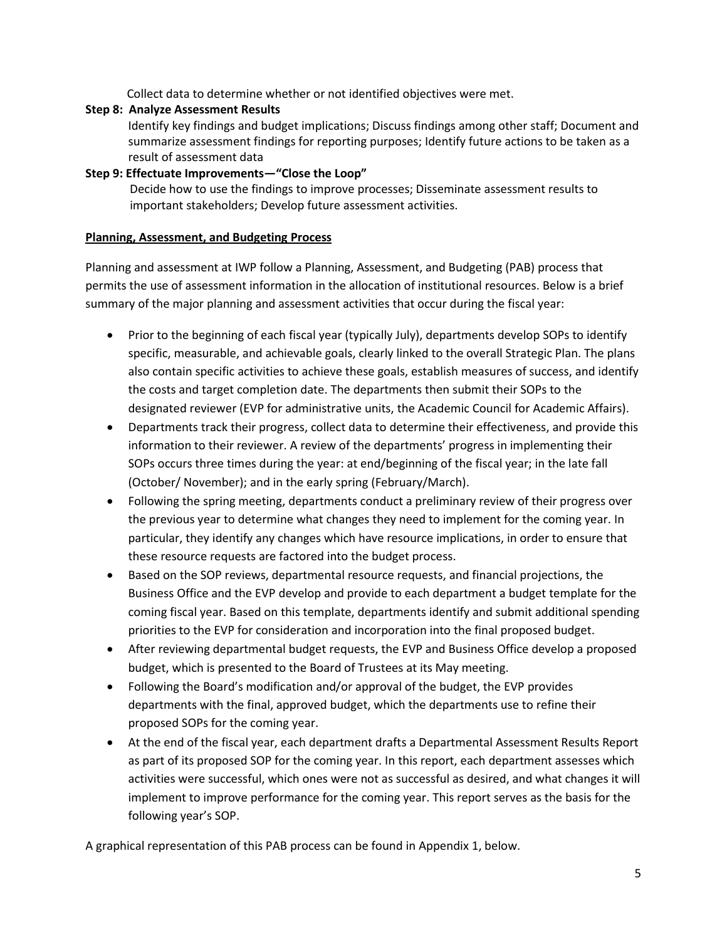Collect data to determine whether or not identified objectives were met.

# **Step 8: Analyze Assessment Results**

Identify key findings and budget implications; Discuss findings among other staff; Document and summarize assessment findings for reporting purposes; Identify future actions to be taken as a result of assessment data

## **Step 9: Effectuate Improvements—"Close the Loop"**

 Decide how to use the findings to improve processes; Disseminate assessment results to important stakeholders; Develop future assessment activities.

## **Planning, Assessment, and Budgeting Process**

Planning and assessment at IWP follow a Planning, Assessment, and Budgeting (PAB) process that permits the use of assessment information in the allocation of institutional resources. Below is a brief summary of the major planning and assessment activities that occur during the fiscal year:

- Prior to the beginning of each fiscal year (typically July), departments develop SOPs to identify specific, measurable, and achievable goals, clearly linked to the overall Strategic Plan. The plans also contain specific activities to achieve these goals, establish measures of success, and identify the costs and target completion date. The departments then submit their SOPs to the designated reviewer (EVP for administrative units, the Academic Council for Academic Affairs).
- Departments track their progress, collect data to determine their effectiveness, and provide this information to their reviewer. A review of the departments' progress in implementing their SOPs occurs three times during the year: at end/beginning of the fiscal year; in the late fall (October/ November); and in the early spring (February/March).
- Following the spring meeting, departments conduct a preliminary review of their progress over the previous year to determine what changes they need to implement for the coming year. In particular, they identify any changes which have resource implications, in order to ensure that these resource requests are factored into the budget process.
- Based on the SOP reviews, departmental resource requests, and financial projections, the Business Office and the EVP develop and provide to each department a budget template for the coming fiscal year. Based on this template, departments identify and submit additional spending priorities to the EVP for consideration and incorporation into the final proposed budget.
- After reviewing departmental budget requests, the EVP and Business Office develop a proposed budget, which is presented to the Board of Trustees at its May meeting.
- Following the Board's modification and/or approval of the budget, the EVP provides departments with the final, approved budget, which the departments use to refine their proposed SOPs for the coming year.
- At the end of the fiscal year, each department drafts a Departmental Assessment Results Report as part of its proposed SOP for the coming year. In this report, each department assesses which activities were successful, which ones were not as successful as desired, and what changes it will implement to improve performance for the coming year. This report serves as the basis for the following year's SOP.

A graphical representation of this PAB process can be found in Appendix 1, below.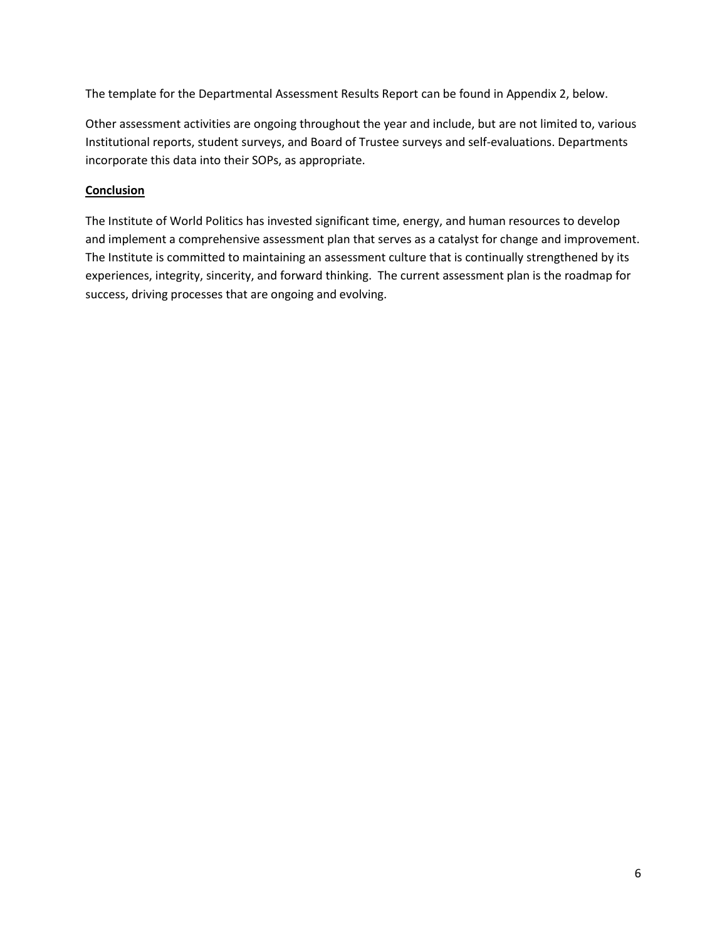The template for the Departmental Assessment Results Report can be found in Appendix 2, below.

Other assessment activities are ongoing throughout the year and include, but are not limited to, various Institutional reports, student surveys, and Board of Trustee surveys and self-evaluations. Departments incorporate this data into their SOPs, as appropriate.

# **Conclusion**

The Institute of World Politics has invested significant time, energy, and human resources to develop and implement a comprehensive assessment plan that serves as a catalyst for change and improvement. The Institute is committed to maintaining an assessment culture that is continually strengthened by its experiences, integrity, sincerity, and forward thinking. The current assessment plan is the roadmap for success, driving processes that are ongoing and evolving.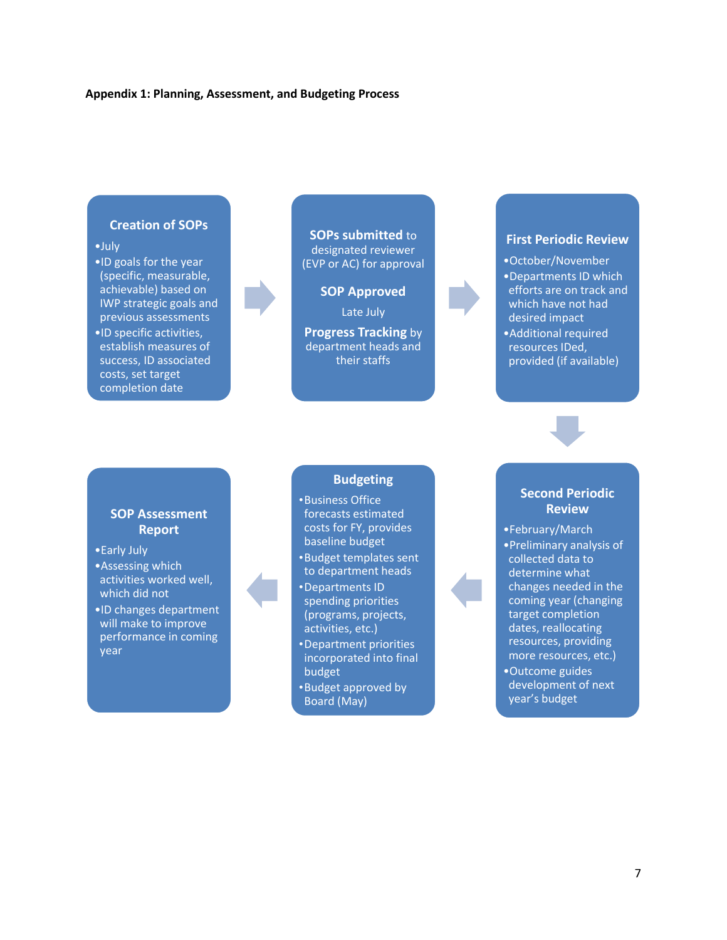#### **Appendix 1: Planning, Assessment, and Budgeting Process**

#### **Creation of SOPs**

#### •July

•ID goals for the year (specific, measurable, achievable) based on IWP strategic goals and previous assessments •ID specific activities, establish measures of success, ID associated costs, set target completion date



**SOPs submitted** to designated reviewer (EVP or AC) for approval

**SOP Approved**

Late July

**Progress Tracking** by department heads and their staffs

#### **First Periodic Review**

•October/November •Departments ID which efforts are on track and which have not had desired impact •Additional required resources IDed, provided (if available)

### **SOP Assessment Report**

- •Early July
- •Assessing which activities worked well, which did not
- •ID changes department will make to improve performance in coming year

#### **Budgeting**

- •Business Office forecasts estimated costs for FY, provides baseline budget
- •Budget templates sent to department heads
- •Departments ID spending priorities (programs, projects, activities, etc.)
- •Department priorities incorporated into final budget
- •Budget approved by Board (May)

## **Second Periodic Review**

•February/March •Preliminary analysis of collected data to determine what changes needed in the coming year (changing target completion dates, reallocating resources, providing more resources, etc.) •Outcome guides

development of next year's budget